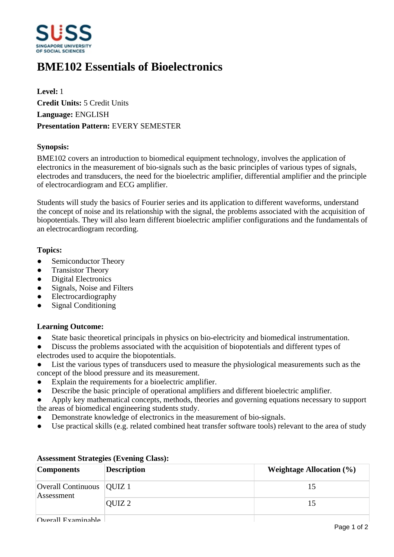

# **BME102 Essentials of Bioelectronics**

**Level:** 1 **Credit Units:** 5 Credit Units **Language:** ENGLISH **Presentation Pattern:** EVERY SEMESTER

## **Synopsis:**

BME102 covers an introduction to biomedical equipment technology, involves the application of electronics in the measurement of bio-signals such as the basic principles of various types of signals, electrodes and transducers, the need for the bioelectric amplifier, differential amplifier and the principle of electrocardiogram and ECG amplifier.

Students will study the basics of Fourier series and its application to different waveforms, understand the concept of noise and its relationship with the signal, the problems associated with the acquisition of biopotentials. They will also learn different bioelectric amplifier configurations and the fundamentals of an electrocardiogram recording.

## **Topics:**

- Semiconductor Theory
- Transistor Theory
- Digital Electronics
- Signals, Noise and Filters
- ƔElectrocardiography
- Signal Conditioning

#### **Learning Outcome:**

• State basic theoretical principals in physics on bio-electricity and biomedical instrumentation.

• Discuss the problems associated with the acquisition of biopotentials and different types of electrodes used to acquire the biopotentials.

- List the various types of transducers used to measure the physiological measurements such as the concept of the blood pressure and its measurement.
- Explain the requirements for a bioelectric amplifier.
- Describe the basic principle of operational amplifiers and different bioelectric amplifier.
- Apply key mathematical concepts, methods, theories and governing equations necessary to support the areas of biomedical engineering students study.
- Demonstrate knowledge of electronics in the measurement of bio-signals.
- Use practical skills (e.g. related combined heat transfer software tools) relevant to the area of study

| <b>Components</b>                         | <b>Description</b> | Weightage Allocation $(\% )$ |
|-------------------------------------------|--------------------|------------------------------|
| Overall Continuous   QUIZ 1<br>Assessment |                    | 15                           |
|                                           | OUIZ <sub>2</sub>  | 15                           |
| $\Omega$ warall Evaminabla                |                    |                              |

## **Assessment Strategies (Evening Class):**